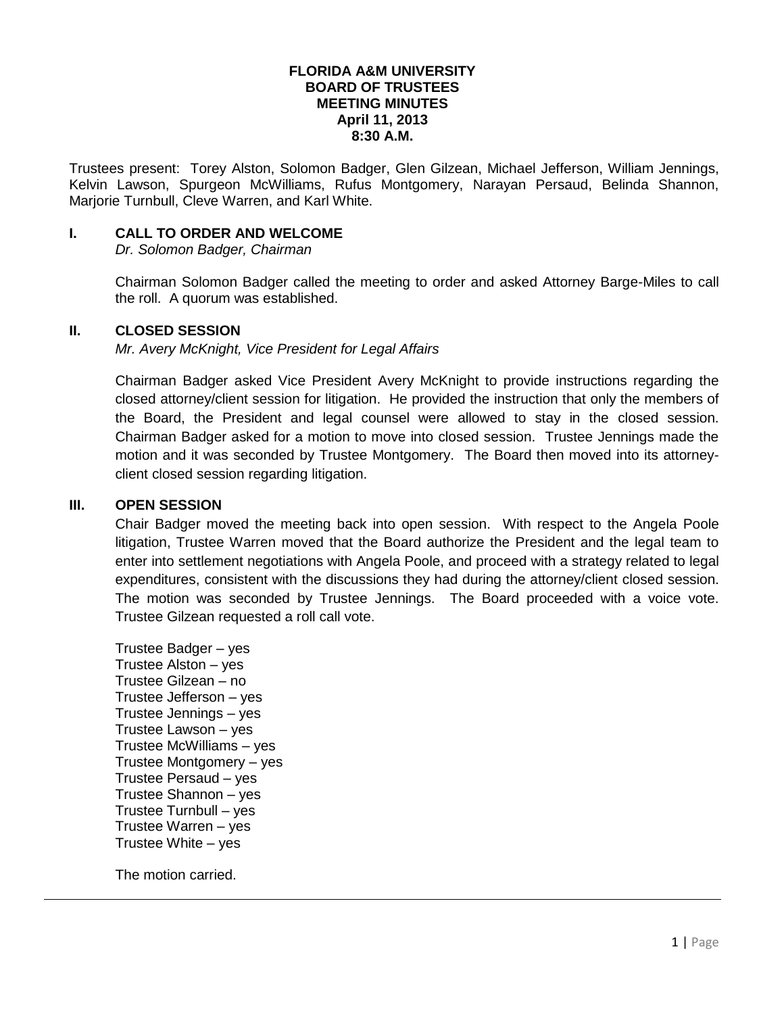#### **FLORIDA A&M UNIVERSITY BOARD OF TRUSTEES MEETING MINUTES April 11, 2013 8:30 A.M.**

Trustees present: Torey Alston, Solomon Badger, Glen Gilzean, Michael Jefferson, William Jennings, Kelvin Lawson, Spurgeon McWilliams, Rufus Montgomery, Narayan Persaud, Belinda Shannon, Marjorie Turnbull, Cleve Warren, and Karl White.

## **I. CALL TO ORDER AND WELCOME**

*Dr. Solomon Badger, Chairman*

Chairman Solomon Badger called the meeting to order and asked Attorney Barge-Miles to call the roll. A quorum was established.

## **II. CLOSED SESSION**

*Mr. Avery McKnight, Vice President for Legal Affairs*

Chairman Badger asked Vice President Avery McKnight to provide instructions regarding the closed attorney/client session for litigation. He provided the instruction that only the members of the Board, the President and legal counsel were allowed to stay in the closed session. Chairman Badger asked for a motion to move into closed session. Trustee Jennings made the motion and it was seconded by Trustee Montgomery. The Board then moved into its attorneyclient closed session regarding litigation.

#### **III. OPEN SESSION**

Chair Badger moved the meeting back into open session. With respect to the Angela Poole litigation, Trustee Warren moved that the Board authorize the President and the legal team to enter into settlement negotiations with Angela Poole, and proceed with a strategy related to legal expenditures, consistent with the discussions they had during the attorney/client closed session. The motion was seconded by Trustee Jennings. The Board proceeded with a voice vote. Trustee Gilzean requested a roll call vote.

Trustee Badger – yes Trustee Alston – yes Trustee Gilzean – no Trustee Jefferson – yes Trustee Jennings – yes Trustee Lawson – yes Trustee McWilliams – yes Trustee Montgomery – yes Trustee Persaud – yes Trustee Shannon – yes Trustee Turnbull – yes Trustee Warren – yes Trustee White – yes

The motion carried.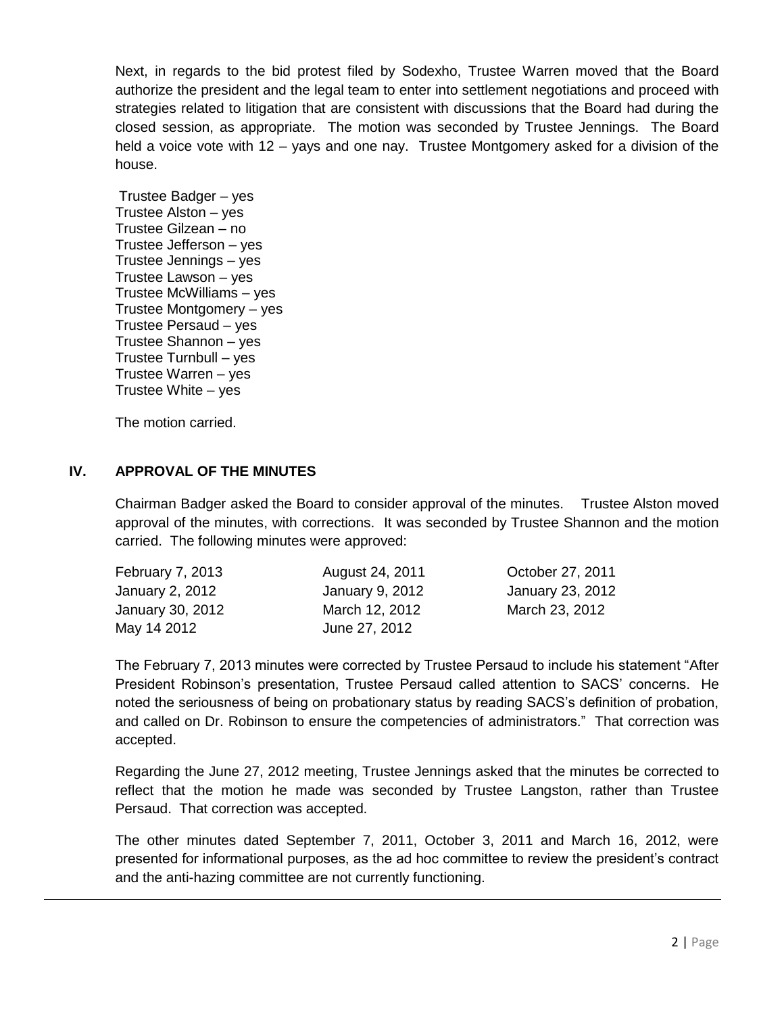Next, in regards to the bid protest filed by Sodexho, Trustee Warren moved that the Board authorize the president and the legal team to enter into settlement negotiations and proceed with strategies related to litigation that are consistent with discussions that the Board had during the closed session, as appropriate. The motion was seconded by Trustee Jennings. The Board held a voice vote with 12 – yays and one nay. Trustee Montgomery asked for a division of the house.

Trustee Badger – yes Trustee Alston – yes Trustee Gilzean – no Trustee Jefferson – yes Trustee Jennings – yes Trustee Lawson – yes Trustee McWilliams – yes Trustee Montgomery – yes Trustee Persaud – yes Trustee Shannon – yes Trustee Turnbull – yes Trustee Warren – yes Trustee White – yes

The motion carried.

# **IV. APPROVAL OF THE MINUTES**

Chairman Badger asked the Board to consider approval of the minutes. Trustee Alston moved approval of the minutes, with corrections. It was seconded by Trustee Shannon and the motion carried. The following minutes were approved:

| February 7, 2013 | August 24, 2011 | October 27, 2011 |
|------------------|-----------------|------------------|
| January 2, 2012  | January 9, 2012 | January 23, 2012 |
| January 30, 2012 | March 12, 2012  | March 23, 2012   |
| May 14 2012      | June 27, 2012   |                  |

The February 7, 2013 minutes were corrected by Trustee Persaud to include his statement "After President Robinson's presentation, Trustee Persaud called attention to SACS' concerns. He noted the seriousness of being on probationary status by reading SACS's definition of probation, and called on Dr. Robinson to ensure the competencies of administrators." That correction was accepted.

Regarding the June 27, 2012 meeting, Trustee Jennings asked that the minutes be corrected to reflect that the motion he made was seconded by Trustee Langston, rather than Trustee Persaud. That correction was accepted.

The other minutes dated September 7, 2011, October 3, 2011 and March 16, 2012, were presented for informational purposes, as the ad hoc committee to review the president's contract and the anti-hazing committee are not currently functioning.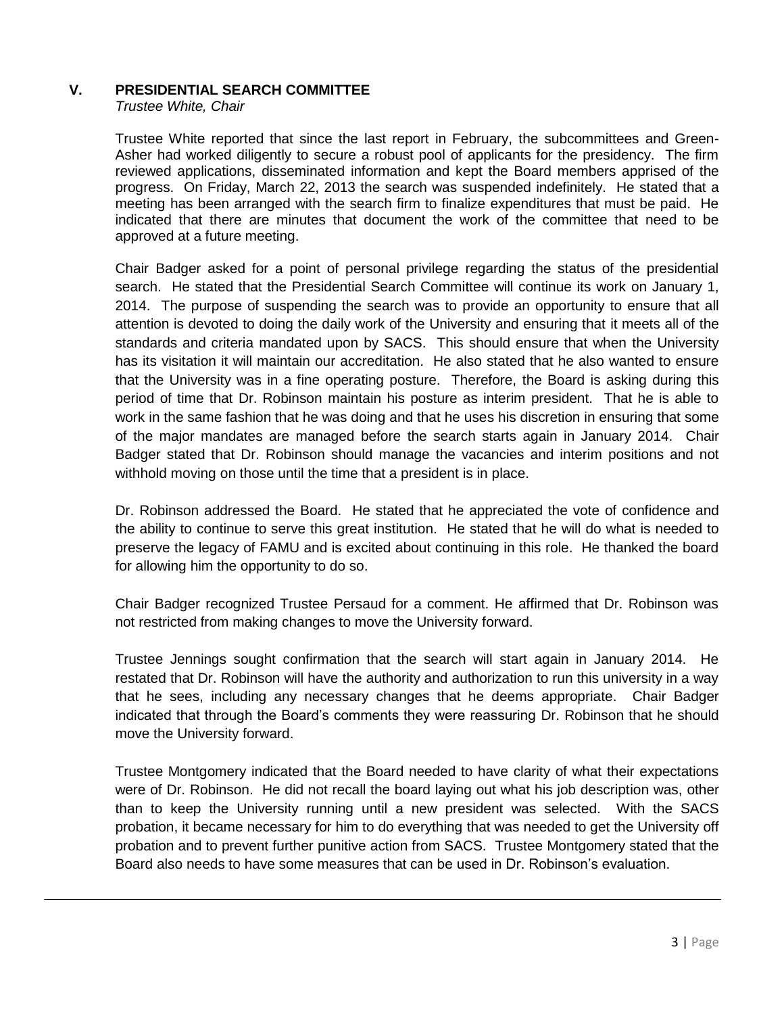# **V. PRESIDENTIAL SEARCH COMMITTEE**

*Trustee White, Chair*

Trustee White reported that since the last report in February, the subcommittees and Green-Asher had worked diligently to secure a robust pool of applicants for the presidency. The firm reviewed applications, disseminated information and kept the Board members apprised of the progress. On Friday, March 22, 2013 the search was suspended indefinitely. He stated that a meeting has been arranged with the search firm to finalize expenditures that must be paid. He indicated that there are minutes that document the work of the committee that need to be approved at a future meeting.

Chair Badger asked for a point of personal privilege regarding the status of the presidential search. He stated that the Presidential Search Committee will continue its work on January 1, 2014. The purpose of suspending the search was to provide an opportunity to ensure that all attention is devoted to doing the daily work of the University and ensuring that it meets all of the standards and criteria mandated upon by SACS. This should ensure that when the University has its visitation it will maintain our accreditation. He also stated that he also wanted to ensure that the University was in a fine operating posture. Therefore, the Board is asking during this period of time that Dr. Robinson maintain his posture as interim president. That he is able to work in the same fashion that he was doing and that he uses his discretion in ensuring that some of the major mandates are managed before the search starts again in January 2014. Chair Badger stated that Dr. Robinson should manage the vacancies and interim positions and not withhold moving on those until the time that a president is in place.

Dr. Robinson addressed the Board. He stated that he appreciated the vote of confidence and the ability to continue to serve this great institution. He stated that he will do what is needed to preserve the legacy of FAMU and is excited about continuing in this role. He thanked the board for allowing him the opportunity to do so.

Chair Badger recognized Trustee Persaud for a comment. He affirmed that Dr. Robinson was not restricted from making changes to move the University forward.

Trustee Jennings sought confirmation that the search will start again in January 2014. He restated that Dr. Robinson will have the authority and authorization to run this university in a way that he sees, including any necessary changes that he deems appropriate. Chair Badger indicated that through the Board's comments they were reassuring Dr. Robinson that he should move the University forward.

Trustee Montgomery indicated that the Board needed to have clarity of what their expectations were of Dr. Robinson. He did not recall the board laying out what his job description was, other than to keep the University running until a new president was selected. With the SACS probation, it became necessary for him to do everything that was needed to get the University off probation and to prevent further punitive action from SACS. Trustee Montgomery stated that the Board also needs to have some measures that can be used in Dr. Robinson's evaluation.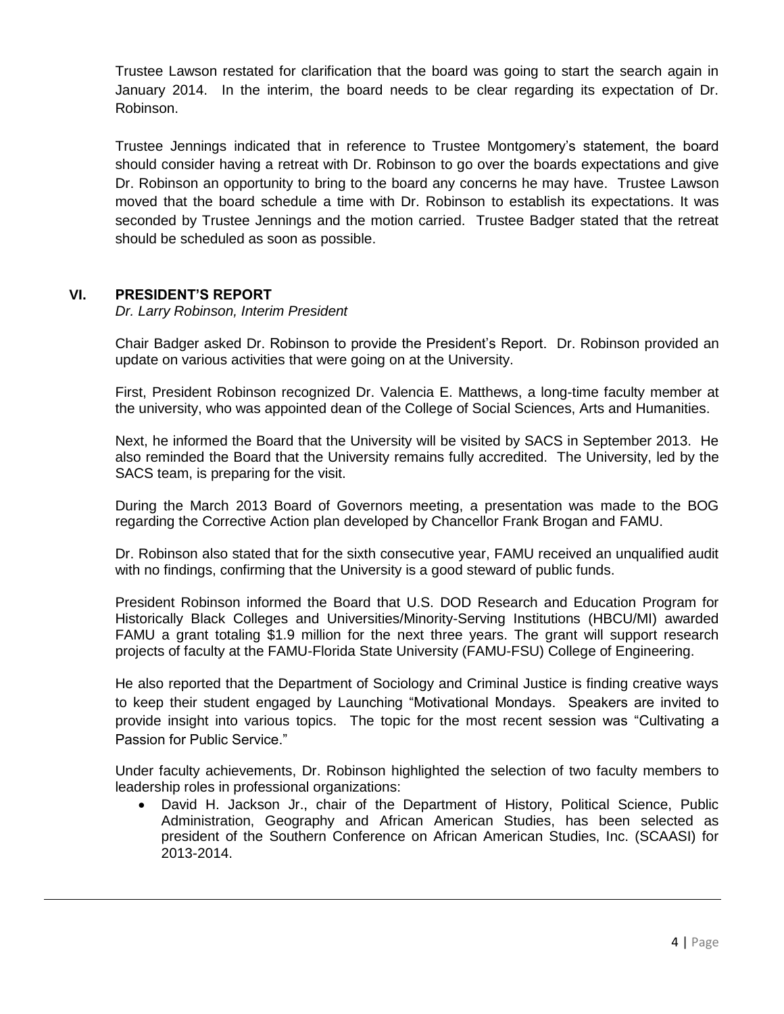Trustee Lawson restated for clarification that the board was going to start the search again in January 2014. In the interim, the board needs to be clear regarding its expectation of Dr. Robinson.

Trustee Jennings indicated that in reference to Trustee Montgomery's statement, the board should consider having a retreat with Dr. Robinson to go over the boards expectations and give Dr. Robinson an opportunity to bring to the board any concerns he may have. Trustee Lawson moved that the board schedule a time with Dr. Robinson to establish its expectations. It was seconded by Trustee Jennings and the motion carried. Trustee Badger stated that the retreat should be scheduled as soon as possible.

# **VI. PRESIDENT'S REPORT**

*Dr. Larry Robinson, Interim President*

Chair Badger asked Dr. Robinson to provide the President's Report. Dr. Robinson provided an update on various activities that were going on at the University.

First, President Robinson recognized Dr. Valencia E. Matthews, a long-time faculty member at the university, who was appointed dean of the College of Social Sciences, Arts and Humanities.

Next, he informed the Board that the University will be visited by SACS in September 2013. He also reminded the Board that the University remains fully accredited. The University, led by the SACS team, is preparing for the visit.

During the March 2013 Board of Governors meeting, a presentation was made to the BOG regarding the Corrective Action plan developed by Chancellor Frank Brogan and FAMU.

Dr. Robinson also stated that for the sixth consecutive year, FAMU received an unqualified audit with no findings, confirming that the University is a good steward of public funds.

President Robinson informed the Board that U.S. DOD Research and Education Program for Historically Black Colleges and Universities/Minority-Serving Institutions (HBCU/MI) awarded FAMU a grant totaling \$1.9 million for the next three years. The grant will support research projects of faculty at the FAMU-Florida State University (FAMU-FSU) College of Engineering.

He also reported that the Department of Sociology and Criminal Justice is finding creative ways to keep their student engaged by Launching "Motivational Mondays. Speakers are invited to provide insight into various topics. The topic for the most recent session was "Cultivating a Passion for Public Service."

Under faculty achievements, Dr. Robinson highlighted the selection of two faculty members to leadership roles in professional organizations:

 David H. Jackson Jr., chair of the Department of History, Political Science, Public Administration, Geography and African American Studies, has been selected as president of the Southern Conference on African American Studies, Inc. (SCAASI) for 2013-2014.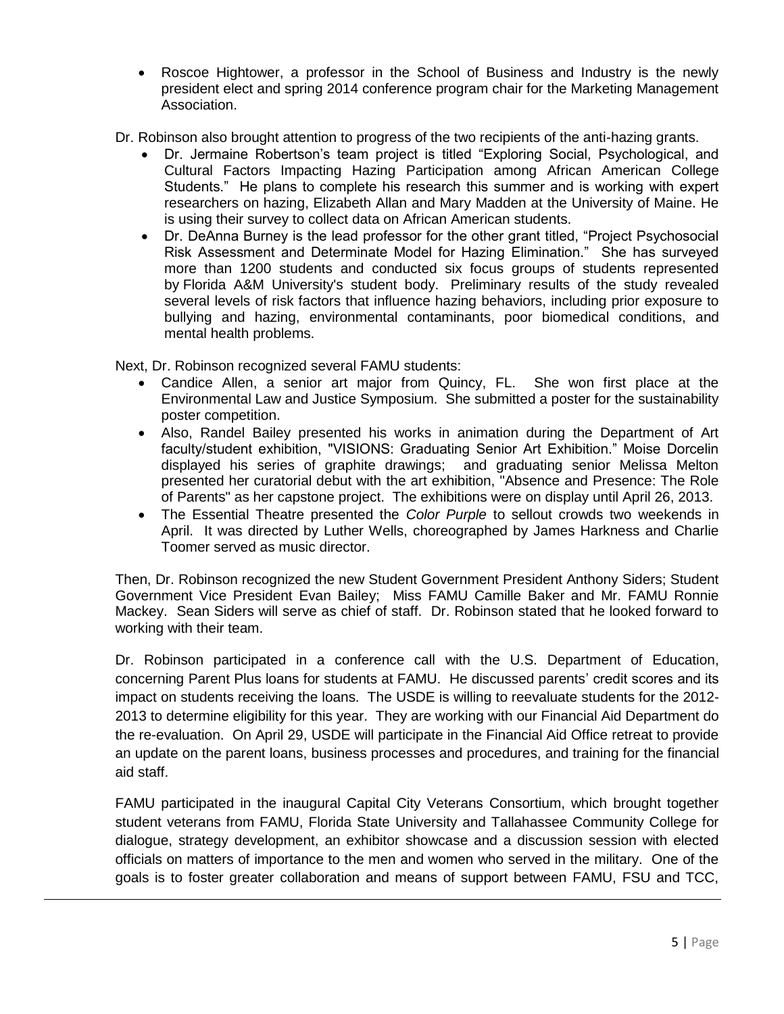- Roscoe Hightower, a professor in the School of Business and Industry is the newly president elect and spring 2014 conference program chair for the Marketing Management Association.
- Dr. Robinson also brought attention to progress of the two recipients of the anti-hazing grants.
	- Dr. Jermaine Robertson's team project is titled "Exploring Social, Psychological, and Cultural Factors Impacting Hazing Participation among African American College Students." He plans to complete his research this summer and is working with expert researchers on hazing, Elizabeth Allan and Mary Madden at the University of Maine. He is using their survey to collect data on African American students.
	- Dr. DeAnna Burney is the lead professor for the other grant titled, "Project Psychosocial Risk Assessment and Determinate Model for Hazing Elimination." She has surveyed more than 1200 students and conducted six focus groups of students represented by Florida A&M University's student body. Preliminary results of the study revealed several levels of risk factors that influence hazing behaviors, including prior exposure to bullying and hazing, environmental contaminants, poor biomedical conditions, and mental health problems.

Next, Dr. Robinson recognized several FAMU students:

- Candice Allen, a senior art major from Quincy, FL. She won first place at the Environmental Law and Justice Symposium. She submitted a poster for the sustainability poster competition.
- Also, Randel Bailey presented his works in animation during the Department of Art faculty/student exhibition, "VISIONS: Graduating Senior Art Exhibition." Moise Dorcelin displayed his series of graphite drawings; and graduating senior Melissa Melton presented her curatorial debut with the art exhibition, "Absence and Presence: The Role of Parents" as her capstone project. The exhibitions were on display until April 26, 2013.
- The Essential Theatre presented the *Color Purple* to sellout crowds two weekends in April. It was directed by Luther Wells, choreographed by James Harkness and Charlie Toomer served as music director.

Then, Dr. Robinson recognized the new Student Government President Anthony Siders; Student Government Vice President Evan Bailey; Miss FAMU Camille Baker and Mr. FAMU Ronnie Mackey. Sean Siders will serve as chief of staff. Dr. Robinson stated that he looked forward to working with their team.

Dr. Robinson participated in a conference call with the U.S. Department of Education, concerning Parent Plus loans for students at FAMU. He discussed parents' credit scores and its impact on students receiving the loans. The USDE is willing to reevaluate students for the 2012- 2013 to determine eligibility for this year. They are working with our Financial Aid Department do the re-evaluation. On April 29, USDE will participate in the Financial Aid Office retreat to provide an update on the parent loans, business processes and procedures, and training for the financial aid staff.

FAMU participated in the inaugural Capital City Veterans Consortium, which brought together student veterans from FAMU, Florida State University and Tallahassee Community College for dialogue, strategy development, an exhibitor showcase and a discussion session with elected officials on matters of importance to the men and women who served in the military. One of the goals is to foster greater collaboration and means of support between FAMU, FSU and TCC,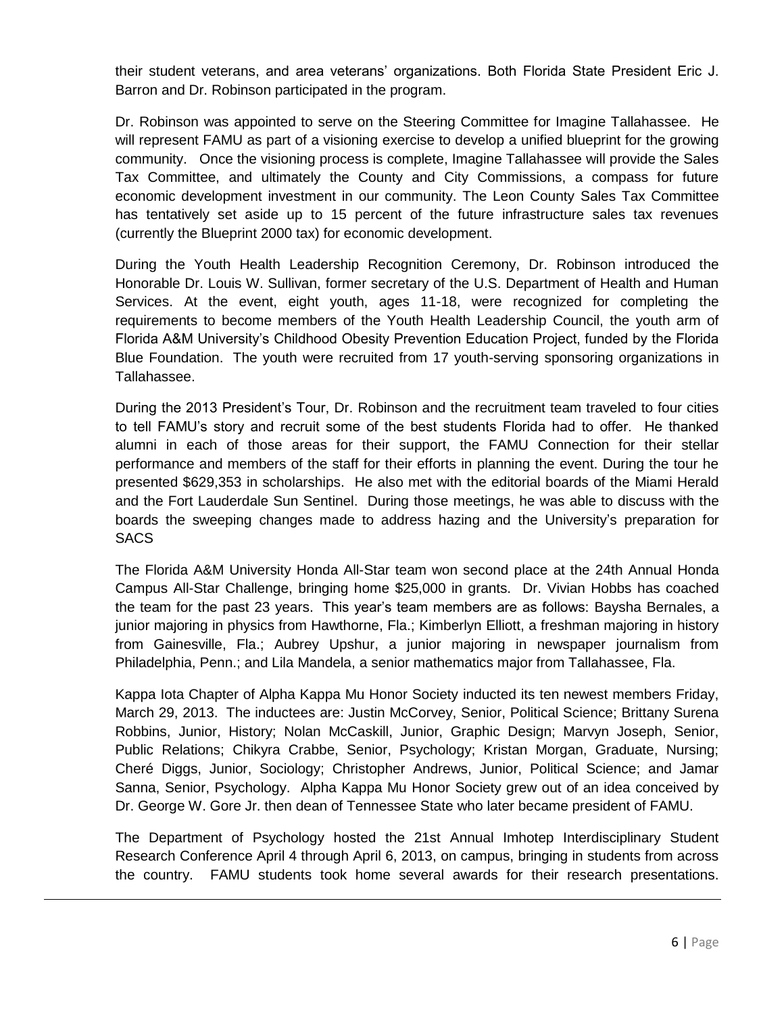their student veterans, and area veterans' organizations. Both Florida State President Eric J. Barron and Dr. Robinson participated in the program.

Dr. Robinson was appointed to serve on the Steering Committee for Imagine Tallahassee. He will represent FAMU as part of a visioning exercise to develop a unified blueprint for the growing community. Once the visioning process is complete, Imagine Tallahassee will provide the Sales Tax Committee, and ultimately the County and City Commissions, a compass for future economic development investment in our community. The Leon County Sales Tax Committee has tentatively set aside up to 15 percent of the future infrastructure sales tax revenues (currently the Blueprint 2000 tax) for economic development.

During the Youth Health Leadership Recognition Ceremony, Dr. Robinson introduced the Honorable Dr. Louis W. Sullivan, former secretary of the U.S. Department of Health and Human Services. At the event, eight youth, ages 11-18, were recognized for completing the requirements to become members of the Youth Health Leadership Council, the youth arm of Florida A&M University's Childhood Obesity Prevention Education Project, funded by the Florida Blue Foundation. The youth were recruited from 17 youth-serving sponsoring organizations in Tallahassee.

During the 2013 President's Tour, Dr. Robinson and the recruitment team traveled to four cities to tell FAMU's story and recruit some of the best students Florida had to offer. He thanked alumni in each of those areas for their support, the FAMU Connection for their stellar performance and members of the staff for their efforts in planning the event. During the tour he presented \$629,353 in scholarships. He also met with the editorial boards of the Miami Herald and the Fort Lauderdale Sun Sentinel. During those meetings, he was able to discuss with the boards the sweeping changes made to address hazing and the University's preparation for **SACS** 

The Florida A&M University Honda All-Star team won second place at the 24th Annual Honda Campus All-Star Challenge, bringing home \$25,000 in grants. Dr. Vivian Hobbs has coached the team for the past 23 years. This year's team members are as follows: Baysha Bernales, a junior majoring in physics from Hawthorne, Fla.; Kimberlyn Elliott, a freshman majoring in history from Gainesville, Fla.; Aubrey Upshur, a junior majoring in newspaper journalism from Philadelphia, Penn.; and Lila Mandela, a senior mathematics major from Tallahassee, Fla.

Kappa Iota Chapter of Alpha Kappa Mu Honor Society inducted its ten newest members Friday, March 29, 2013. The inductees are: Justin McCorvey, Senior, Political Science; Brittany Surena Robbins, Junior, History; Nolan McCaskill, Junior, Graphic Design; Marvyn Joseph, Senior, Public Relations; Chikyra Crabbe, Senior, Psychology; Kristan Morgan, Graduate, Nursing; Cheré Diggs, Junior, Sociology; Christopher Andrews, Junior, Political Science; and Jamar Sanna, Senior, Psychology. Alpha Kappa Mu Honor Society grew out of an idea conceived by Dr. George W. Gore Jr. then dean of Tennessee State who later became president of FAMU.

The Department of Psychology hosted the 21st Annual Imhotep Interdisciplinary Student Research Conference April 4 through April 6, 2013, on campus, bringing in students from across the country. FAMU students took home several awards for their research presentations.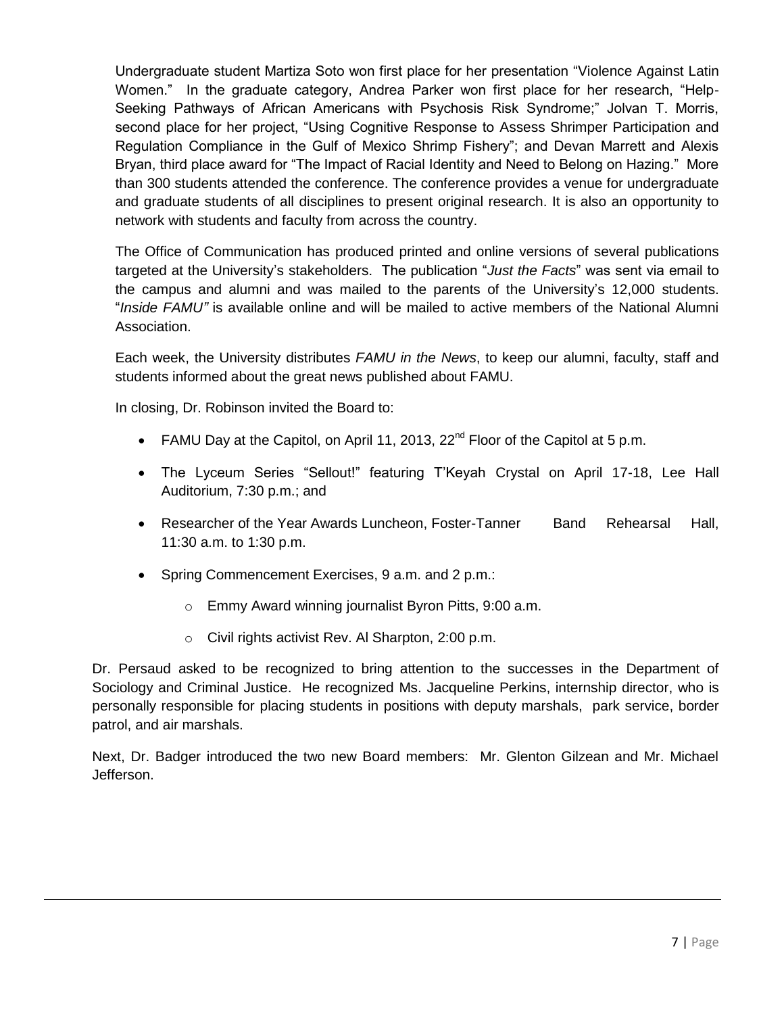Undergraduate student Martiza Soto won first place for her presentation "Violence Against Latin Women." In the graduate category, Andrea Parker won first place for her research, "Help-Seeking Pathways of African Americans with Psychosis Risk Syndrome;" Jolvan T. Morris, second place for her project, "Using Cognitive Response to Assess Shrimper Participation and Regulation Compliance in the Gulf of Mexico Shrimp Fishery"; and Devan Marrett and Alexis Bryan, third place award for "The Impact of Racial Identity and Need to Belong on Hazing." More than 300 students attended the conference. The conference provides a venue for undergraduate and graduate students of all disciplines to present original research. It is also an opportunity to network with students and faculty from across the country.

The Office of Communication has produced printed and online versions of several publications targeted at the University's stakeholders. The publication "*Just the Facts*" was sent via email to the campus and alumni and was mailed to the parents of the University's 12,000 students. "*Inside FAMU"* is available online and will be mailed to active members of the National Alumni Association.

Each week, the University distributes *FAMU in the News*, to keep our alumni, faculty, staff and students informed about the great news published about FAMU.

In closing, Dr. Robinson invited the Board to:

- FAMU Day at the Capitol, on April 11, 2013, 22<sup>nd</sup> Floor of the Capitol at 5 p.m.
- The Lyceum Series "Sellout!" featuring T'Keyah Crystal on April 17-18, Lee Hall Auditorium, 7:30 p.m.; and
- Researcher of the Year Awards Luncheon, Foster-Tanner Band Rehearsal Hall, 11:30 a.m. to 1:30 p.m.
- Spring Commencement Exercises, 9 a.m. and 2 p.m.:
	- o Emmy Award winning journalist Byron Pitts, 9:00 a.m.
	- o Civil rights activist Rev. Al Sharpton, 2:00 p.m.

Dr. Persaud asked to be recognized to bring attention to the successes in the Department of Sociology and Criminal Justice. He recognized Ms. Jacqueline Perkins, internship director, who is personally responsible for placing students in positions with deputy marshals, park service, border patrol, and air marshals.

Next, Dr. Badger introduced the two new Board members: Mr. Glenton Gilzean and Mr. Michael Jefferson.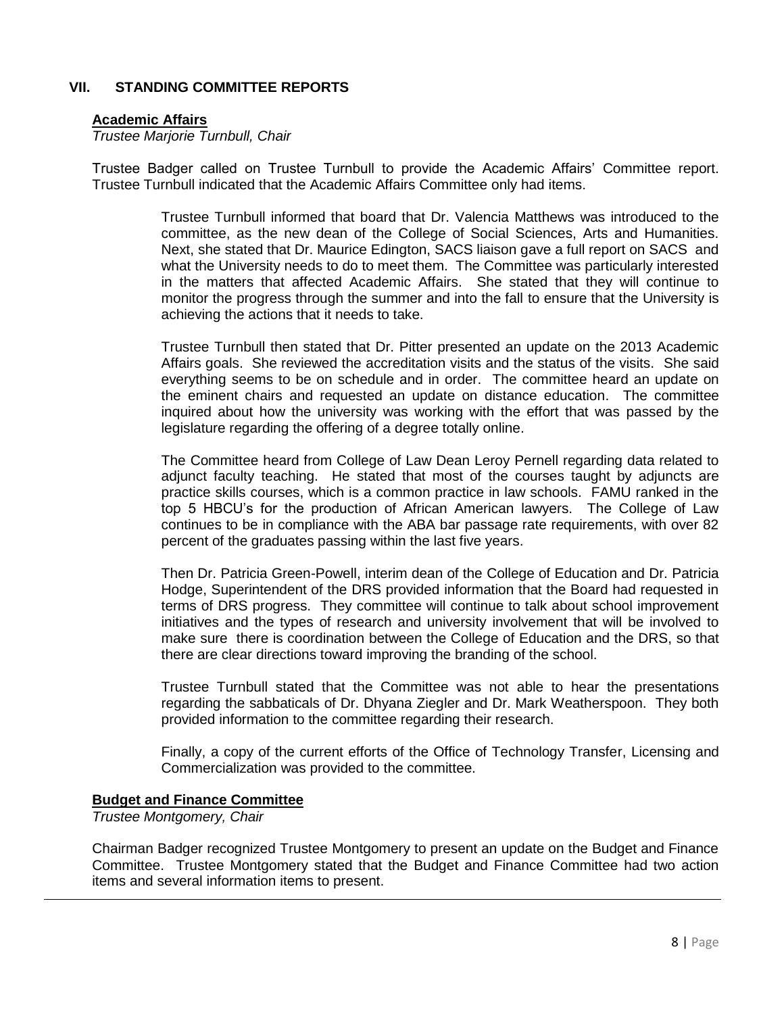# **VII. STANDING COMMITTEE REPORTS**

#### **Academic Affairs**

*Trustee Marjorie Turnbull, Chair*

Trustee Badger called on Trustee Turnbull to provide the Academic Affairs' Committee report. Trustee Turnbull indicated that the Academic Affairs Committee only had items.

> Trustee Turnbull informed that board that Dr. Valencia Matthews was introduced to the committee, as the new dean of the College of Social Sciences, Arts and Humanities. Next, she stated that Dr. Maurice Edington, SACS liaison gave a full report on SACS and what the University needs to do to meet them. The Committee was particularly interested in the matters that affected Academic Affairs. She stated that they will continue to monitor the progress through the summer and into the fall to ensure that the University is achieving the actions that it needs to take.

> Trustee Turnbull then stated that Dr. Pitter presented an update on the 2013 Academic Affairs goals. She reviewed the accreditation visits and the status of the visits. She said everything seems to be on schedule and in order. The committee heard an update on the eminent chairs and requested an update on distance education. The committee inquired about how the university was working with the effort that was passed by the legislature regarding the offering of a degree totally online.

> The Committee heard from College of Law Dean Leroy Pernell regarding data related to adjunct faculty teaching. He stated that most of the courses taught by adjuncts are practice skills courses, which is a common practice in law schools. FAMU ranked in the top 5 HBCU's for the production of African American lawyers. The College of Law continues to be in compliance with the ABA bar passage rate requirements, with over 82 percent of the graduates passing within the last five years.

> Then Dr. Patricia Green-Powell, interim dean of the College of Education and Dr. Patricia Hodge, Superintendent of the DRS provided information that the Board had requested in terms of DRS progress. They committee will continue to talk about school improvement initiatives and the types of research and university involvement that will be involved to make sure there is coordination between the College of Education and the DRS, so that there are clear directions toward improving the branding of the school.

> Trustee Turnbull stated that the Committee was not able to hear the presentations regarding the sabbaticals of Dr. Dhyana Ziegler and Dr. Mark Weatherspoon. They both provided information to the committee regarding their research.

> Finally, a copy of the current efforts of the Office of Technology Transfer, Licensing and Commercialization was provided to the committee.

#### **Budget and Finance Committee**

*Trustee Montgomery, Chair*

Chairman Badger recognized Trustee Montgomery to present an update on the Budget and Finance Committee. Trustee Montgomery stated that the Budget and Finance Committee had two action items and several information items to present.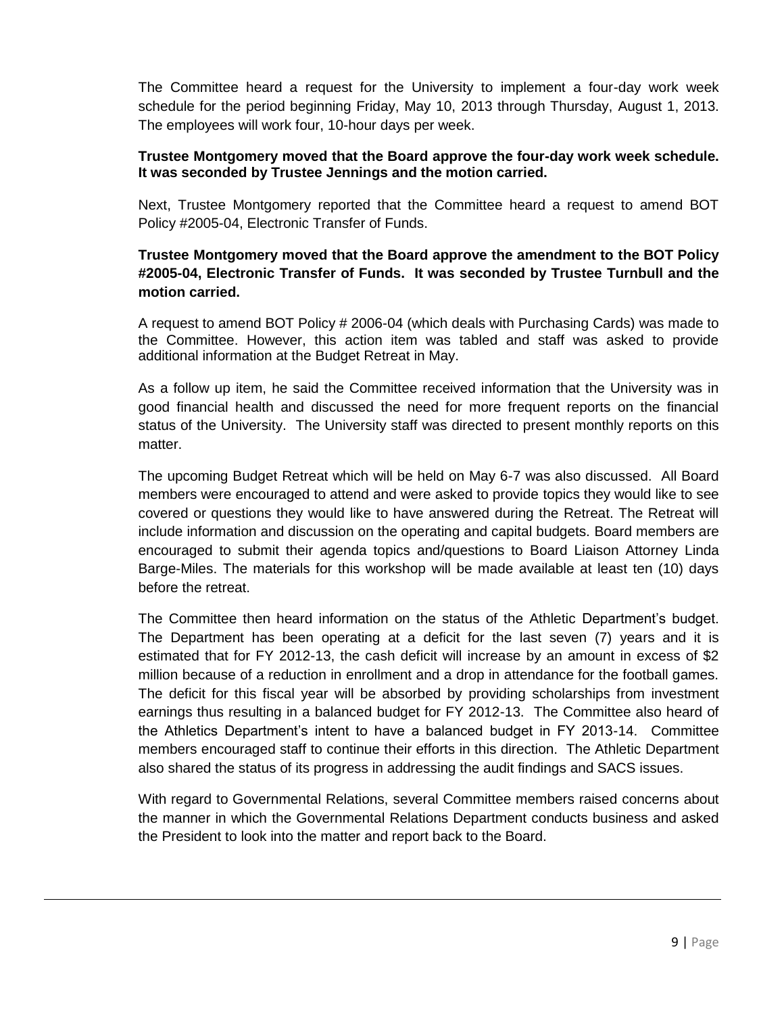The Committee heard a request for the University to implement a four-day work week schedule for the period beginning Friday, May 10, 2013 through Thursday, August 1, 2013. The employees will work four, 10-hour days per week.

## **Trustee Montgomery moved that the Board approve the four-day work week schedule. It was seconded by Trustee Jennings and the motion carried.**

Next, Trustee Montgomery reported that the Committee heard a request to amend BOT Policy #2005-04, Electronic Transfer of Funds.

# **Trustee Montgomery moved that the Board approve the amendment to the BOT Policy #2005-04, Electronic Transfer of Funds. It was seconded by Trustee Turnbull and the motion carried.**

A request to amend BOT Policy # 2006-04 (which deals with Purchasing Cards) was made to the Committee. However, this action item was tabled and staff was asked to provide additional information at the Budget Retreat in May.

As a follow up item, he said the Committee received information that the University was in good financial health and discussed the need for more frequent reports on the financial status of the University. The University staff was directed to present monthly reports on this matter.

The upcoming Budget Retreat which will be held on May 6-7 was also discussed. All Board members were encouraged to attend and were asked to provide topics they would like to see covered or questions they would like to have answered during the Retreat. The Retreat will include information and discussion on the operating and capital budgets. Board members are encouraged to submit their agenda topics and/questions to Board Liaison Attorney Linda Barge-Miles. The materials for this workshop will be made available at least ten (10) days before the retreat.

The Committee then heard information on the status of the Athletic Department's budget. The Department has been operating at a deficit for the last seven (7) years and it is estimated that for FY 2012-13, the cash deficit will increase by an amount in excess of \$2 million because of a reduction in enrollment and a drop in attendance for the football games. The deficit for this fiscal year will be absorbed by providing scholarships from investment earnings thus resulting in a balanced budget for FY 2012-13. The Committee also heard of the Athletics Department's intent to have a balanced budget in FY 2013-14. Committee members encouraged staff to continue their efforts in this direction. The Athletic Department also shared the status of its progress in addressing the audit findings and SACS issues.

With regard to Governmental Relations, several Committee members raised concerns about the manner in which the Governmental Relations Department conducts business and asked the President to look into the matter and report back to the Board.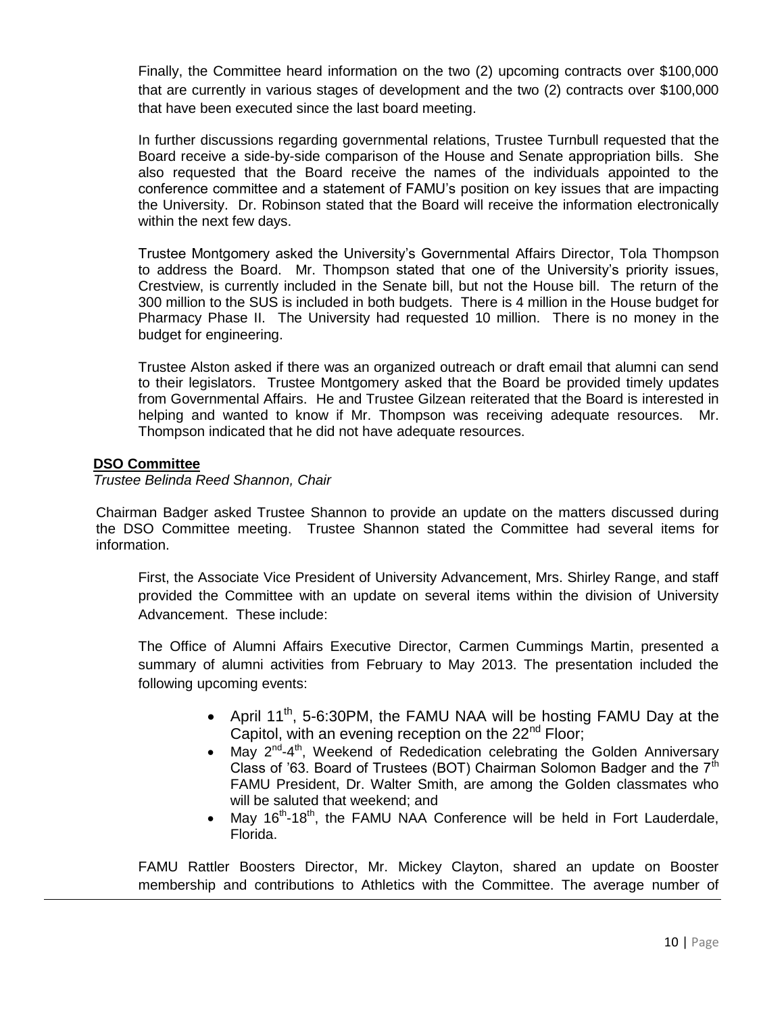Finally, the Committee heard information on the two (2) upcoming contracts over \$100,000 that are currently in various stages of development and the two (2) contracts over \$100,000 that have been executed since the last board meeting.

In further discussions regarding governmental relations, Trustee Turnbull requested that the Board receive a side-by-side comparison of the House and Senate appropriation bills. She also requested that the Board receive the names of the individuals appointed to the conference committee and a statement of FAMU's position on key issues that are impacting the University. Dr. Robinson stated that the Board will receive the information electronically within the next few days.

Trustee Montgomery asked the University's Governmental Affairs Director, Tola Thompson to address the Board. Mr. Thompson stated that one of the University's priority issues, Crestview, is currently included in the Senate bill, but not the House bill. The return of the 300 million to the SUS is included in both budgets. There is 4 million in the House budget for Pharmacy Phase II. The University had requested 10 million. There is no money in the budget for engineering.

Trustee Alston asked if there was an organized outreach or draft email that alumni can send to their legislators. Trustee Montgomery asked that the Board be provided timely updates from Governmental Affairs. He and Trustee Gilzean reiterated that the Board is interested in helping and wanted to know if Mr. Thompson was receiving adequate resources. Mr. Thompson indicated that he did not have adequate resources.

## **DSO Committee**

 *Trustee Belinda Reed Shannon, Chair*

Chairman Badger asked Trustee Shannon to provide an update on the matters discussed during the DSO Committee meeting. Trustee Shannon stated the Committee had several items for information.

First, the Associate Vice President of University Advancement, Mrs. Shirley Range, and staff provided the Committee with an update on several items within the division of University Advancement. These include:

The Office of Alumni Affairs Executive Director, Carmen Cummings Martin, presented a summary of alumni activities from February to May 2013. The presentation included the following upcoming events:

- April 11<sup>th</sup>, 5-6:30PM, the FAMU NAA will be hosting FAMU Day at the Capitol, with an evening reception on the 22<sup>nd</sup> Floor:
- May  $2^{nd} 4^{th}$ , Weekend of Rededication celebrating the Golden Anniversary Class of '63. Board of Trustees (BOT) Chairman Solomon Badger and the  $7<sup>th</sup>$ FAMU President, Dr. Walter Smith, are among the Golden classmates who will be saluted that weekend; and
- May  $16^{th}$ -18<sup>th</sup>, the FAMU NAA Conference will be held in Fort Lauderdale, Florida.

FAMU Rattler Boosters Director, Mr. Mickey Clayton, shared an update on Booster membership and contributions to Athletics with the Committee. The average number of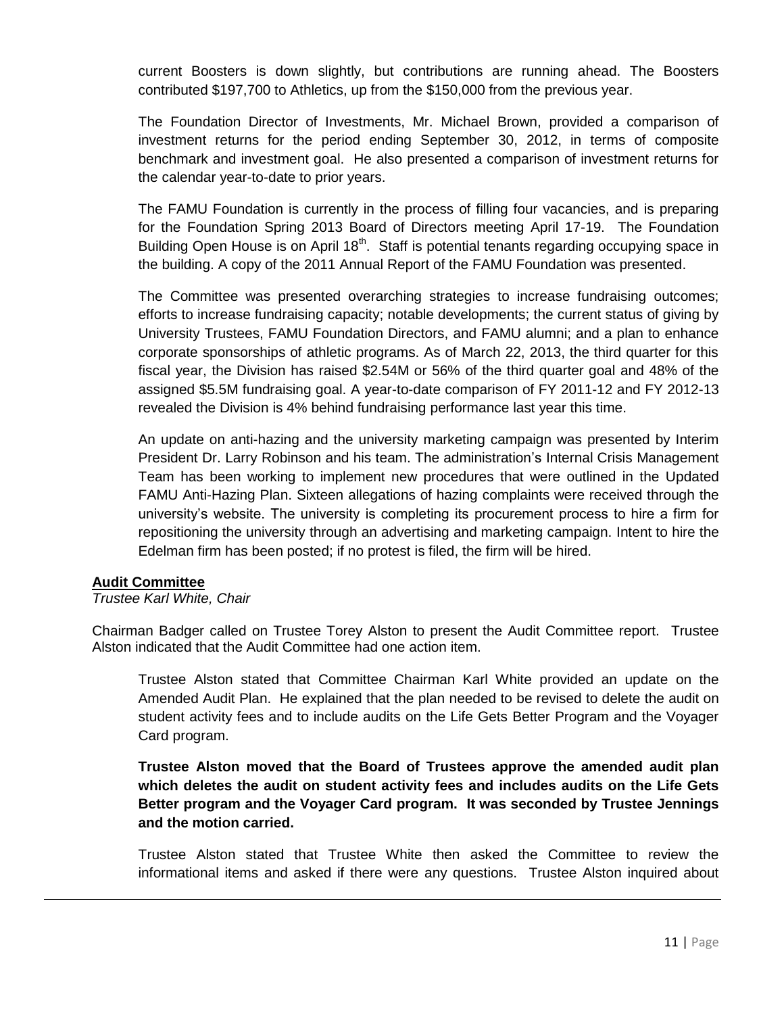current Boosters is down slightly, but contributions are running ahead. The Boosters contributed \$197,700 to Athletics, up from the \$150,000 from the previous year.

The Foundation Director of Investments, Mr. Michael Brown, provided a comparison of investment returns for the period ending September 30, 2012, in terms of composite benchmark and investment goal. He also presented a comparison of investment returns for the calendar year-to-date to prior years.

The FAMU Foundation is currently in the process of filling four vacancies, and is preparing for the Foundation Spring 2013 Board of Directors meeting April 17-19. The Foundation Building Open House is on April 18<sup>th</sup>. Staff is potential tenants regarding occupying space in the building. A copy of the 2011 Annual Report of the FAMU Foundation was presented.

The Committee was presented overarching strategies to increase fundraising outcomes; efforts to increase fundraising capacity; notable developments; the current status of giving by University Trustees, FAMU Foundation Directors, and FAMU alumni; and a plan to enhance corporate sponsorships of athletic programs. As of March 22, 2013, the third quarter for this fiscal year, the Division has raised \$2.54M or 56% of the third quarter goal and 48% of the assigned \$5.5M fundraising goal. A year-to-date comparison of FY 2011-12 and FY 2012-13 revealed the Division is 4% behind fundraising performance last year this time.

An update on anti-hazing and the university marketing campaign was presented by Interim President Dr. Larry Robinson and his team. The administration's Internal Crisis Management Team has been working to implement new procedures that were outlined in the Updated FAMU Anti-Hazing Plan. Sixteen allegations of hazing complaints were received through the university's website. The university is completing its procurement process to hire a firm for repositioning the university through an advertising and marketing campaign. Intent to hire the Edelman firm has been posted; if no protest is filed, the firm will be hired.

#### **Audit Committee**

#### *Trustee Karl White, Chair*

Chairman Badger called on Trustee Torey Alston to present the Audit Committee report. Trustee Alston indicated that the Audit Committee had one action item.

Trustee Alston stated that Committee Chairman Karl White provided an update on the Amended Audit Plan. He explained that the plan needed to be revised to delete the audit on student activity fees and to include audits on the Life Gets Better Program and the Voyager Card program.

**Trustee Alston moved that the Board of Trustees approve the amended audit plan which deletes the audit on student activity fees and includes audits on the Life Gets Better program and the Voyager Card program. It was seconded by Trustee Jennings and the motion carried.** 

Trustee Alston stated that Trustee White then asked the Committee to review the informational items and asked if there were any questions. Trustee Alston inquired about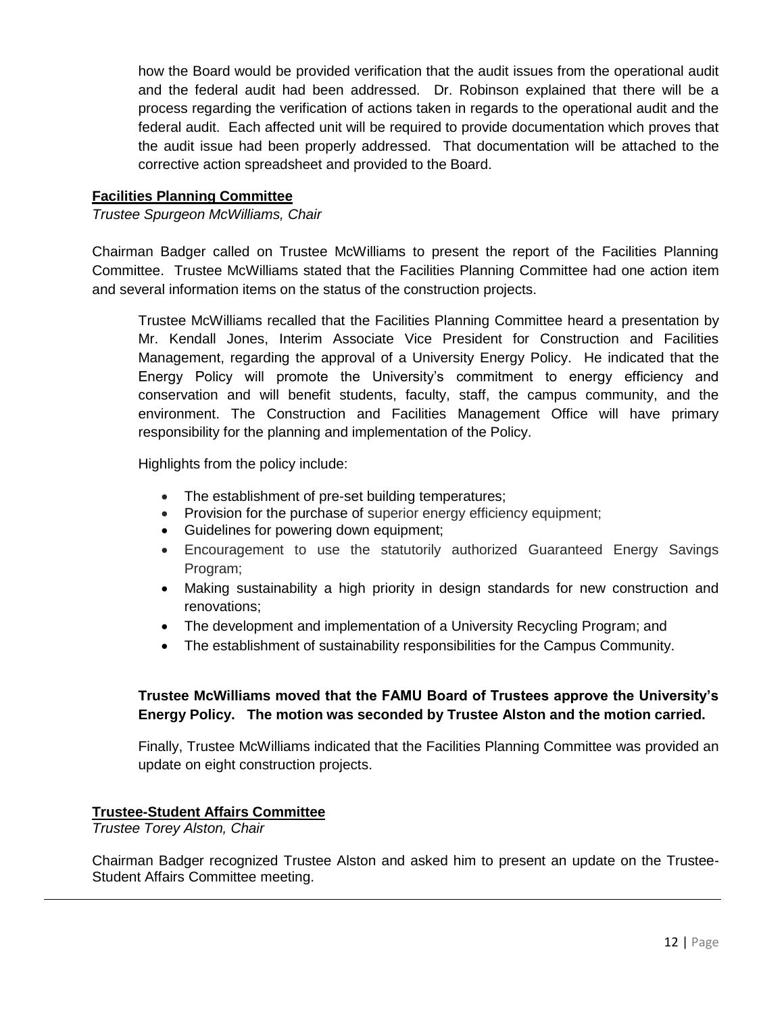how the Board would be provided verification that the audit issues from the operational audit and the federal audit had been addressed. Dr. Robinson explained that there will be a process regarding the verification of actions taken in regards to the operational audit and the federal audit. Each affected unit will be required to provide documentation which proves that the audit issue had been properly addressed. That documentation will be attached to the corrective action spreadsheet and provided to the Board.

## **Facilities Planning Committee**

## *Trustee Spurgeon McWilliams, Chair*

Chairman Badger called on Trustee McWilliams to present the report of the Facilities Planning Committee. Trustee McWilliams stated that the Facilities Planning Committee had one action item and several information items on the status of the construction projects.

Trustee McWilliams recalled that the Facilities Planning Committee heard a presentation by Mr. Kendall Jones, Interim Associate Vice President for Construction and Facilities Management, regarding the approval of a University Energy Policy. He indicated that the Energy Policy will promote the University's commitment to energy efficiency and conservation and will benefit students, faculty, staff, the campus community, and the environment. The Construction and Facilities Management Office will have primary responsibility for the planning and implementation of the Policy.

Highlights from the policy include:

- The establishment of pre-set building temperatures:
- Provision for the purchase of superior energy efficiency equipment;
- Guidelines for powering down equipment;
- Encouragement to use the statutorily authorized Guaranteed Energy Savings Program;
- Making sustainability a high priority in design standards for new construction and renovations;
- The development and implementation of a University Recycling Program; and
- The establishment of sustainability responsibilities for the Campus Community.

# **Trustee McWilliams moved that the FAMU Board of Trustees approve the University's Energy Policy. The motion was seconded by Trustee Alston and the motion carried.**

Finally, Trustee McWilliams indicated that the Facilities Planning Committee was provided an update on eight construction projects.

### **Trustee-Student Affairs Committee**

*Trustee Torey Alston, Chair*

Chairman Badger recognized Trustee Alston and asked him to present an update on the Trustee-Student Affairs Committee meeting.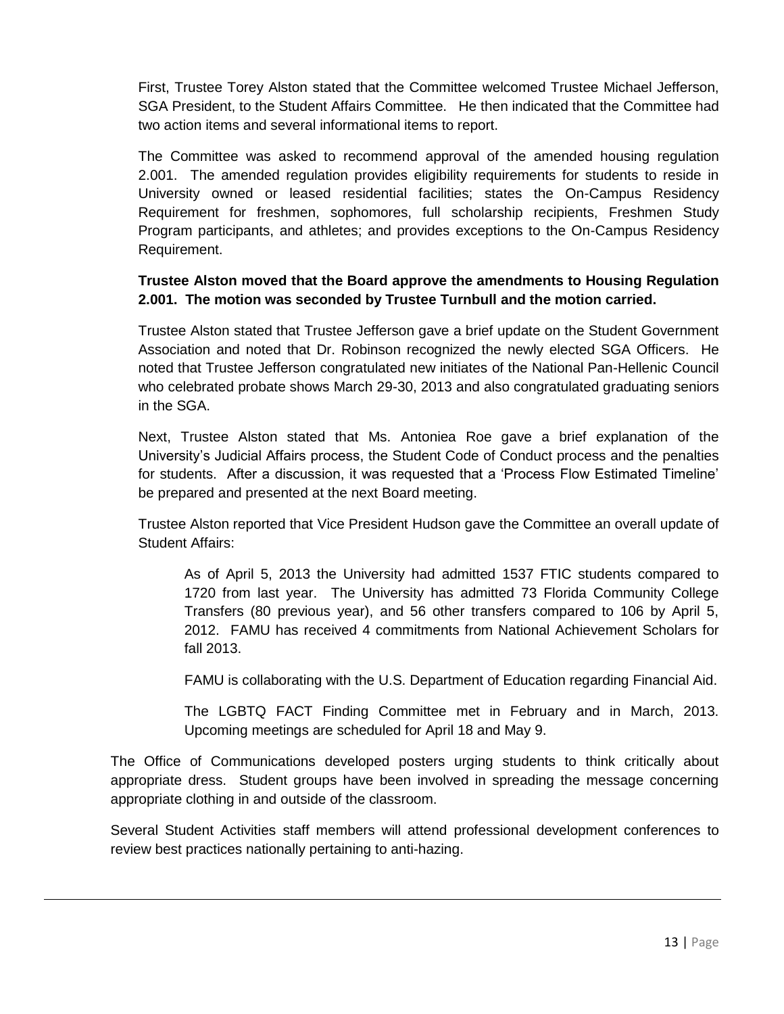First, Trustee Torey Alston stated that the Committee welcomed Trustee Michael Jefferson, SGA President, to the Student Affairs Committee. He then indicated that the Committee had two action items and several informational items to report.

The Committee was asked to recommend approval of the amended housing regulation 2.001. The amended regulation provides eligibility requirements for students to reside in University owned or leased residential facilities; states the On-Campus Residency Requirement for freshmen, sophomores, full scholarship recipients, Freshmen Study Program participants, and athletes; and provides exceptions to the On-Campus Residency Requirement.

# **Trustee Alston moved that the Board approve the amendments to Housing Regulation 2.001. The motion was seconded by Trustee Turnbull and the motion carried.**

Trustee Alston stated that Trustee Jefferson gave a brief update on the Student Government Association and noted that Dr. Robinson recognized the newly elected SGA Officers. He noted that Trustee Jefferson congratulated new initiates of the National Pan-Hellenic Council who celebrated probate shows March 29-30, 2013 and also congratulated graduating seniors in the SGA.

Next, Trustee Alston stated that Ms. Antoniea Roe gave a brief explanation of the University's Judicial Affairs process, the Student Code of Conduct process and the penalties for students. After a discussion, it was requested that a 'Process Flow Estimated Timeline' be prepared and presented at the next Board meeting.

Trustee Alston reported that Vice President Hudson gave the Committee an overall update of Student Affairs:

As of April 5, 2013 the University had admitted 1537 FTIC students compared to 1720 from last year. The University has admitted 73 Florida Community College Transfers (80 previous year), and 56 other transfers compared to 106 by April 5, 2012. FAMU has received 4 commitments from National Achievement Scholars for fall 2013.

FAMU is collaborating with the U.S. Department of Education regarding Financial Aid.

The LGBTQ FACT Finding Committee met in February and in March, 2013. Upcoming meetings are scheduled for April 18 and May 9.

The Office of Communications developed posters urging students to think critically about appropriate dress. Student groups have been involved in spreading the message concerning appropriate clothing in and outside of the classroom.

Several Student Activities staff members will attend professional development conferences to review best practices nationally pertaining to anti-hazing.